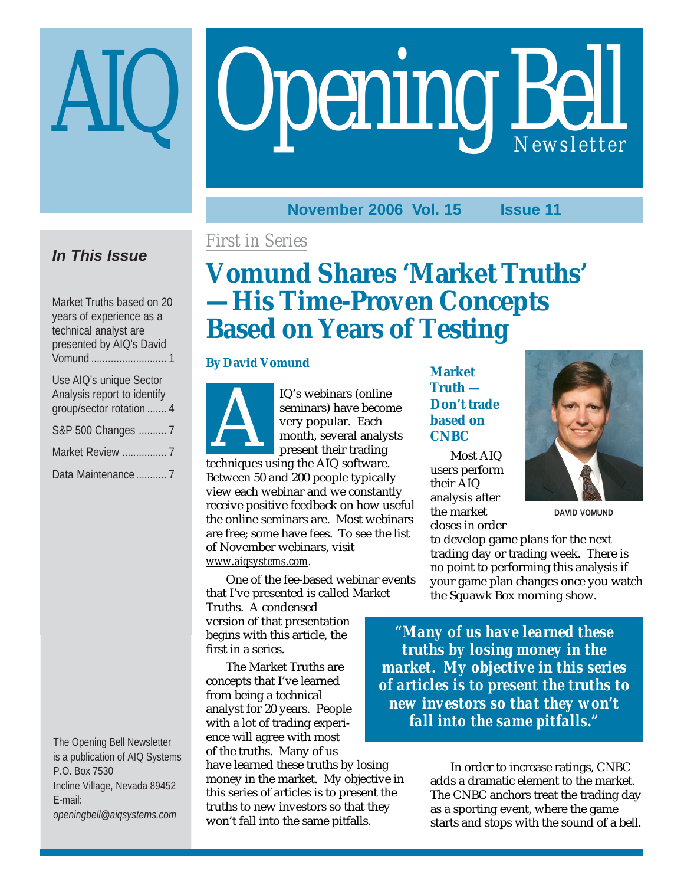# **Opening Bell**

**November 2006 Vol. 15 Issue 11**

## **In This Issue**

Market Truths based on 20 years of experience as a technical analyst are presented by AIQ's David Vomund ........................... 1

| Use AIQ's unique Sector<br>Analysis report to identify |
|--------------------------------------------------------|
| qroup/sector rotation  4                               |
| S&P 500 Changes  7                                     |
| Market Review  7                                       |
|                                                        |

The Opening Bell Newsletter is a publication of AIQ Systems P.O. Box 7530 Incline Village, Nevada 89452 E-mail: *openingbell@aiqsystems.com*

## *First in Series*

# **Vomund Shares 'Market Truths' —His Time-Proven Concepts Based on Years of Testing**

#### **By David Vomund**



IQ's webinars (online seminars) have becon<br>very popular. Each<br>month, several analys<br>present their trading<br>techniques using the AIQ software. seminars) have become very popular. Each month, several analysts present their trading

Between 50 and 200 people typically view each webinar and we constantly receive positive feedback on how useful the online seminars are. Most webinars are free; some have fees. To see the list of November webinars, visit *www.aiqsystems.com.*

One of the fee-based webinar events that I've presented is called Market

Truths. A condensed version of that presentation begins with this article, the first in a series.

The Market Truths are concepts that I've learned from being a technical analyst for 20 years. People with a lot of trading experience will agree with most of the truths. Many of us

have learned these truths by losing money in the market. My objective in this series of articles is to present the truths to new investors so that they won't fall into the same pitfalls.

**Market Truth — Don't trade based on CNBC**

Most AIQ users perform their AIQ analysis after the market closes in order



**DAVID VOMUND**

to develop game plans for the next trading day or trading week. There is no point to performing this analysis if your game plan changes once you watch the Squawk Box morning show.

*"Many of us have learned these truths by losing money in the market. My objective in this series of articles is to present the truths to new investors so that they won't fall into the same pitfalls."*

> In order to increase ratings, CNBC adds a dramatic element to the market. The CNBC anchors treat the trading day as a sporting event, where the game starts and stops with the sound of a bell.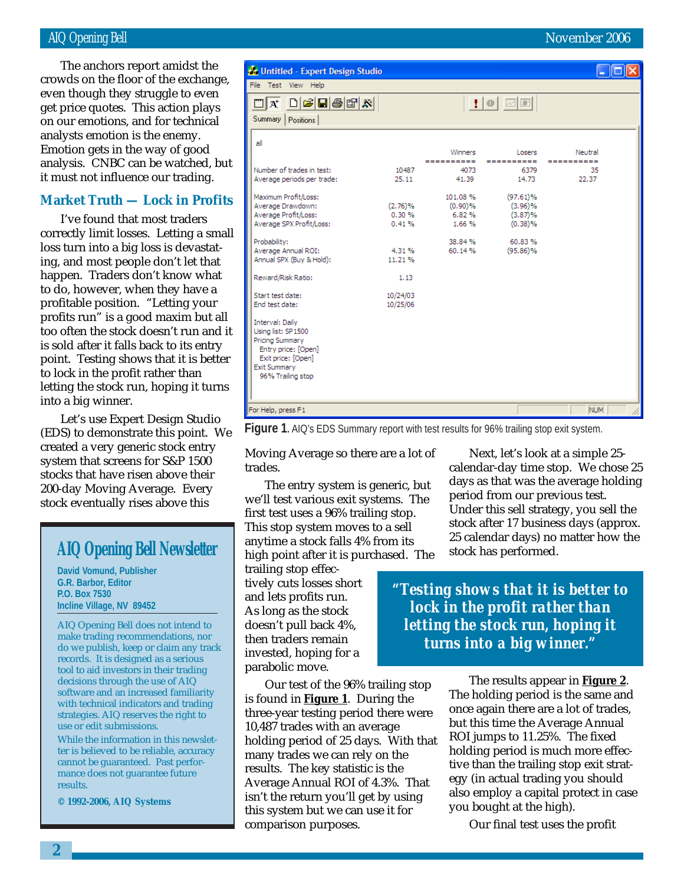#### AIQ Opening Bell November 2006

get price quotes. This action plays The anchors report amidst the crowds on the floor of the exchange, even though they struggle to even on our emotions, and for technical analysts emotion is the enemy. Emotion gets in the way of good analysis. CNBC can be watched, but it must not influence our trading.

#### **Market Truth — Lock in Profits**

I've found that most traders correctly limit losses. Letting a small loss turn into a big loss is devastating, and most people don't let that happen. Traders don't know what to do, however, when they have a profitable position. "Letting your profits run" is a good maxim but all too often the stock doesn't run and it is sold after it falls back to its entry point. Testing shows that it is better to lock in the profit rather than letting the stock run, hoping it turns into a big winner.

Let's use Expert Design Studio (EDS) to demonstrate this point. We created a very generic stock entry system that screens for S&P 1500 stocks that have risen above their 200-day Moving Average. Every stock eventually rises above this

## **AIQ Opening Bell Newsletter**

**David Vomund, Publisher G.R. Barbor, Editor P.O. Box 7530 Incline Village, NV 89452**

AIQ Opening Bell does not intend to make trading recommendations, nor do we publish, keep or claim any track records. It is designed as a serious tool to aid investors in their trading decisions through the use of AIQ software and an increased familiarity with technical indicators and trading strategies. AIQ reserves the right to use or edit submissions.

While the information in this newsletter is believed to be reliable, accuracy cannot be guaranteed. Past performance does not guarantee future results.

**© 1992-2006, AIQ Systems**

| Untitled - Expert Design Studio       |          |            |                                                                |            |  |
|---------------------------------------|----------|------------|----------------------------------------------------------------|------------|--|
| File Test View Help                   |          |            |                                                                |            |  |
| Summary<br>Positions                  |          |            | $\vert\vert\vert\vert$ o $\vert\vert\vert\vert\vert\vert\vert$ |            |  |
| all                                   |          | Winners    | Losers                                                         | Neutral    |  |
|                                       |          | ---------- | ----------                                                     | ---------- |  |
| Number of trades in test:             | 10487    | 4073       | 6379                                                           | 35         |  |
| Average periods per trade:            | 25.11    | 41.39      | 14.73                                                          | 22.37      |  |
| Maximum Profit/Loss:                  |          | 101.08%    | $(97.61)\%$                                                    |            |  |
| Average Drawdown:                     | (2.76)%  | (0.90)%    | (3.96)%                                                        |            |  |
| Average Profit/Loss:                  | 0.30%    | 6.82%      | (3.87)%                                                        |            |  |
| Average SPX Profit/Loss:              | 0.41%    | 1.66%      | (0.38)%                                                        |            |  |
| Probability:                          |          | 38.84%     | 60.83%                                                         |            |  |
| Average Annual ROI:                   | 4.31%    | 60.14%     | $(95.86)\%$                                                    |            |  |
| Annual SPX (Buy & Hold):              | 11.21%   |            |                                                                |            |  |
| Reward/Risk Ratio:                    | 1.13     |            |                                                                |            |  |
| Start test date:                      | 10/24/03 |            |                                                                |            |  |
| End test date:                        | 10/25/06 |            |                                                                |            |  |
| Interval: Daily<br>Using list: SP1500 |          |            |                                                                |            |  |
| Pricing Summary                       |          |            |                                                                |            |  |
| Entry price: [Open]                   |          |            |                                                                |            |  |
| Exit price: [Open]                    |          |            |                                                                |            |  |
| <b>Exit Summary</b>                   |          |            |                                                                |            |  |
| 96% Trailing stop                     |          |            |                                                                |            |  |
|                                       |          |            |                                                                |            |  |
| For Help, press F1                    |          |            |                                                                | <b>NUM</b> |  |

Figure 1. AIQ's EDS Summary report with test results for 96% trailing stop exit system.

Moving Average so there are a lot of trades.

The entry system is generic, but we'll test various exit systems. The first test uses a 96% trailing stop. This stop system moves to a sell anytime a stock falls 4% from its high point after it is purchased. The

trailing stop effectively cuts losses short and lets profits run. As long as the stock doesn't pull back 4%, then traders remain invested, hoping for a parabolic move.

Our test of the 96% trailing stop is found in **Figure 1**. During the three-year testing period there were 10,487 trades with an average holding period of 25 days. With that many trades we can rely on the results. The key statistic is the Average Annual ROI of 4.3%. That isn't the return you'll get by using this system but we can use it for comparison purposes.

Next, let's look at a simple 25 calendar-day time stop. We chose 25 days as that was the average holding period from our previous test. Under this sell strategy, you sell the stock after 17 business days (approx. 25 calendar days) no matter how the stock has performed.

*"Testing shows that it is better to lock in the profit rather than letting the stock run, hoping it turns into a big winner."*

> The results appear in **Figure 2**. The holding period is the same and once again there are a lot of trades, but this time the Average Annual ROI jumps to 11.25%. The fixed holding period is much more effective than the trailing stop exit strategy (in actual trading you should also employ a capital protect in case you bought at the high).

Our final test uses the profit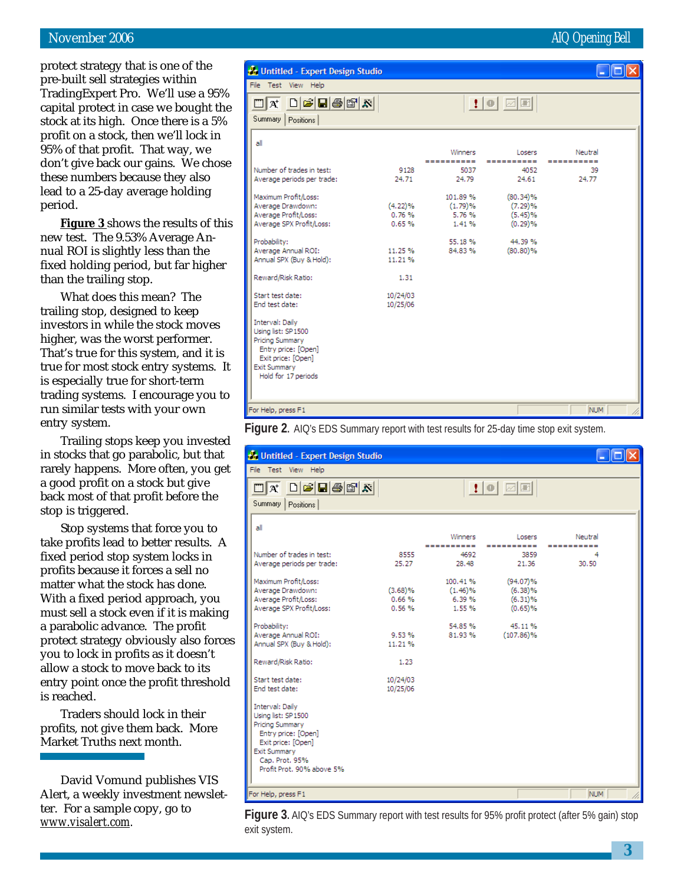#### November 2006 **AIQ Opening Bell**

protect strategy that is one of the pre-built sell strategies within TradingExpert Pro. We'll use a 95% capital protect in case we bought the stock at its high. Once there is a 5% profit on a stock, then we'll lock in 95% of that profit. That way, we don't give back our gains. We chose these numbers because they also lead to a 25-day average holding period.

**Figure 3** shows the results of this new test. The 9.53% Average Annual ROI is slightly less than the fixed holding period, but far higher than the trailing stop.

What does this mean? The trailing stop, designed to keep investors in while the stock moves higher, was the worst performer. That's true for this system, and it is true for most stock entry systems. It is especially true for short-term trading systems. I encourage you to run similar tests with your own entry system.

Trailing stops keep you invested in stocks that go parabolic, but that rarely happens. More often, you get a good profit on a stock but give back most of that profit before the stop is triggered.

Stop systems that force you to take profits lead to better results. A fixed period stop system locks in profits because it forces a sell no matter what the stock has done. With a fixed period approach, you must sell a stock even if it is making a parabolic advance. The profit protect strategy obviously also forces you to lock in profits as it doesn't allow a stock to move back to its entry point once the profit threshold is reached.

Traders should lock in their profits, not give them back. More Market Truths next month.

David Vomund publishes VIS Alert, a weekly investment newsletter. For a sample copy, go to *www.visalert.com.*

| Untitled - Expert Design Studio                                                                                                                                                                                                                                                                                                                                                                                                                       |                                                                                                    |                                                                                                    |                                                                                                                   |                                      |  |
|-------------------------------------------------------------------------------------------------------------------------------------------------------------------------------------------------------------------------------------------------------------------------------------------------------------------------------------------------------------------------------------------------------------------------------------------------------|----------------------------------------------------------------------------------------------------|----------------------------------------------------------------------------------------------------|-------------------------------------------------------------------------------------------------------------------|--------------------------------------|--|
| File Test View Help                                                                                                                                                                                                                                                                                                                                                                                                                                   |                                                                                                    |                                                                                                    |                                                                                                                   |                                      |  |
| $\Box$ $\bm{\alpha}$ $\bm{\cap}$ $\bm{\beta}$ $\bm{\Box}$ $\bm{\beta}$ $\bm{\beta}$ $\bm{\alpha}$ $\bm{\lambda}$<br>Summary<br>Positions                                                                                                                                                                                                                                                                                                              |                                                                                                    |                                                                                                    | $\bullet$ 0 $\boxdot$                                                                                             |                                      |  |
| all<br>Number of trades in test:<br>Average periods per trade:<br>Maximum Profit/Loss:<br>Average Drawdown:<br>Average Profit/Loss:<br>Average SPX Profit/Loss:<br>Probability:<br>Average Annual ROI:<br>Annual SPX (Buy & Hold):<br>Reward/Risk Ratio:<br>Start test date:<br>End test date:<br>Interval: Daily<br>Using list: SP1500<br>Pricing Summary<br>Entry price: [Open]<br>Exit price: [Open]<br><b>Exit Summary</b><br>Hold for 17 periods | 9128<br>24.71<br>$(4.22)\%$<br>0.76%<br>0.65%<br>11.25 %<br>11.21%<br>1.31<br>10/24/03<br>10/25/06 | Winners<br>----------<br>5037<br>24.79<br>101.89%<br>(1.79)%<br>5.76%<br>1.41%<br>55.18%<br>84.83% | Losers<br>----------<br>4052<br>24.61<br>$(80.34)\%$<br>(7.29)%<br>$(5.45)\%$<br>(0.29)%<br>44.39%<br>$(80.80)\%$ | Neutral<br>----------<br>39<br>24.77 |  |
| For Help, press F1                                                                                                                                                                                                                                                                                                                                                                                                                                    |                                                                                                    |                                                                                                    |                                                                                                                   | <b>NUM</b>                           |  |



| <b>A</b> Untitled - Expert Design Studio                                                        |            |            |                          |            |  |
|-------------------------------------------------------------------------------------------------|------------|------------|--------------------------|------------|--|
| File Test View Help                                                                             |            |            |                          |            |  |
| $\bigcap$ $\bigoplus$ $\bigoplus$ $\bigoplus$ $\bigotimes$ $\big $ $\bigotimes$<br>$\Box$ $A^*$ |            |            | $\bullet$ $\blacksquare$ |            |  |
| Summary<br>Positions                                                                            |            |            |                          |            |  |
| all                                                                                             |            |            |                          |            |  |
|                                                                                                 |            | Winners    | Losers                   | Neutral    |  |
|                                                                                                 |            | ---------- | -----------              | ---------- |  |
| Number of trades in test:                                                                       | 8555       | 4692       | 3859                     |            |  |
| Average periods per trade:                                                                      | 25.27      | 28.48      | 21.36                    | 30.50      |  |
| Maximum Profit/Loss:                                                                            |            | 100.41%    | (94.07)%                 |            |  |
| Average Drawdown:                                                                               | $(3.68)\%$ | $(1.46)\%$ | $(6.38)\%$               |            |  |
| Average Profit/Loss:                                                                            | 0.66%      | 6.39%      | $(6.31)\%$               |            |  |
| Average SPX Profit/Loss:                                                                        | 0.56%      | 1.55%      | $(0.65)$ %               |            |  |
| Probability:                                                                                    |            | 54.85%     | 45.11%                   |            |  |
| Average Annual ROI:                                                                             | 9.53%      | 81.93%     | $(107.86)\%$             |            |  |
| Annual SPX (Buy & Hold):                                                                        | 11.21%     |            |                          |            |  |
| Reward/Risk Ratio:                                                                              | 1.23       |            |                          |            |  |
| Start test date:                                                                                | 10/24/03   |            |                          |            |  |
| End test date:                                                                                  | 10/25/06   |            |                          |            |  |
| Interval: Daily                                                                                 |            |            |                          |            |  |
| Using list: SP1500                                                                              |            |            |                          |            |  |
| <b>Pricing Summary</b>                                                                          |            |            |                          |            |  |
| Entry price: [Open]                                                                             |            |            |                          |            |  |
| Exit price: [Open]                                                                              |            |            |                          |            |  |
| <b>Exit Summary</b>                                                                             |            |            |                          |            |  |
| Cap. Prot. 95%                                                                                  |            |            |                          |            |  |
| Profit Prot. 90% above 5%                                                                       |            |            |                          |            |  |
| For Help, press F1                                                                              |            |            |                          | <b>NUM</b> |  |
|                                                                                                 |            |            |                          |            |  |

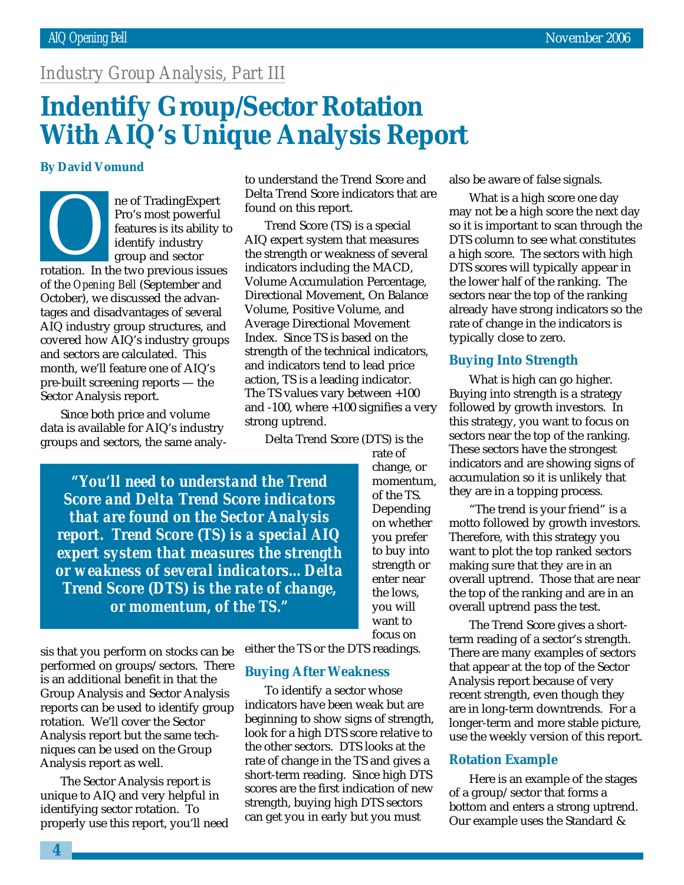## *Industry Group Analysis, Part III*

## **Indentify Group/Sector Rotation With AIQ's Unique Analysis Report**

#### **By David Vomund**

ro's most powerful<br>
ro's most powerful<br>
features is its ability t<br>
identify industry<br>
group and sector<br>
rotation. In the two previous issues Pro's most powerful features is its ability to identify industry group and sector of the *Opening Bell* (September and October), we discussed the advantages and disadvantages of several AIQ industry group structures, and covered how AIQ's industry groups and sectors are calculated. This month, we'll feature one of AIQ's pre-built screening reports — the Sector Analysis report.

Since both price and volume data is available for AIQ's industry groups and sectors, the same analyto understand the Trend Score and Delta Trend Score indicators that are found on this report.

Trend Score (TS) is a special AIQ expert system that measures the strength or weakness of several indicators including the MACD, Volume Accumulation Percentage, Directional Movement, On Balance Volume, Positive Volume, and Average Directional Movement Index. Since TS is based on the strength of the technical indicators, and indicators tend to lead price action, TS is a leading indicator. The TS values vary between +100 and -100, where +100 signifies a very strong uptrend.

Delta Trend Score (DTS) is the

*"You'll need to understand the Trend Score and Delta Trend Score indicators that are found on the Sector Analysis report. Trend Score (TS) is a special AIQ expert system that measures the strength or weakness of several indicators…Delta Trend Score (DTS) is the rate of change, or momentum, of the TS."*

rate of change, or momentum, of the TS. Depending on whether you prefer to buy into strength or enter near the lows, you will want to focus on

sis that you perform on stocks can be performed on groups/sectors. There is an additional benefit in that the Group Analysis and Sector Analysis reports can be used to identify group rotation. We'll cover the Sector Analysis report but the same techniques can be used on the Group Analysis report as well.

The Sector Analysis report is unique to AIQ and very helpful in identifying sector rotation. To properly use this report, you'll need either the TS or the DTS readings.

#### **Buying After Weakness**

To identify a sector whose indicators have been weak but are beginning to show signs of strength, look for a high DTS score relative to the other sectors. DTS looks at the rate of change in the TS and gives a short-term reading. Since high DTS scores are the first indication of new strength, buying high DTS sectors can get you in early but you must

also be aware of false signals.

What is a high score one day may not be a high score the next day so it is important to scan through the DTS column to see what constitutes a high score. The sectors with high DTS scores will typically appear in the lower half of the ranking. The sectors near the top of the ranking already have strong indicators so the rate of change in the indicators is typically close to zero.

#### **Buying Into Strength**

What is high can go higher. Buying into strength is a strategy followed by growth investors. In this strategy, you want to focus on sectors near the top of the ranking. These sectors have the strongest indicators and are showing signs of accumulation so it is unlikely that they are in a topping process.

"The trend is your friend" is a motto followed by growth investors. Therefore, with this strategy you want to plot the top ranked sectors making sure that they are in an overall uptrend. Those that are near the top of the ranking and are in an overall uptrend pass the test.

The Trend Score gives a shortterm reading of a sector's strength. There are many examples of sectors that appear at the top of the Sector Analysis report because of very recent strength, even though they are in long-term downtrends. For a longer-term and more stable picture, use the weekly version of this report.

#### **Rotation Example**

Here is an example of the stages of a group/sector that forms a bottom and enters a strong uptrend. Our example uses the Standard &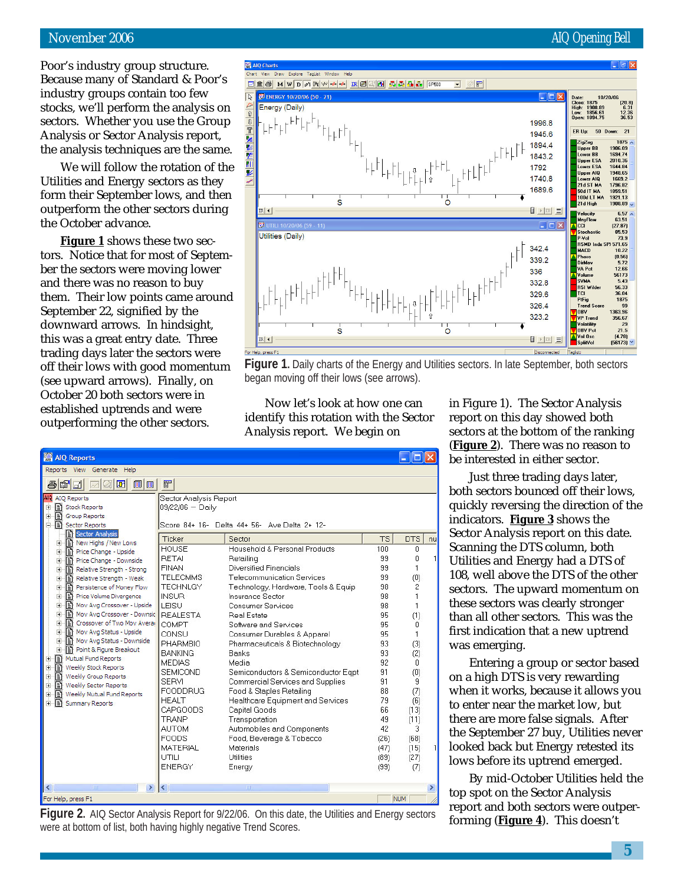#### November 2006 **AIQ Opening Bell**

(ustry<br>cks, v<br>tors.<br>alysi:<br>anal<br>We Poor's industry group structure. Because many of Standard & Poor's industry groups contain too few stocks, we'll perform the analysis on sectors. Whether you use the Group Analysis or Sector Analysis report, the analysis techniques are the same.

We will follow the rotation of the Utilities and Energy sectors as they form their September lows, and then outperform the other sectors during the October advance.

**Figure 1** shows these two sectors. Notice that for most of September the sectors were moving lower and there was no reason to buy them. Their low points came around September 22, signified by the downward arrows. In hindsight, this was a great entry date. Three trading days later the sectors were off their lows with good momentum (see upward arrows). Finally, on October 20 both sectors were in established uptrends and were outperforming the other sectors.



**Figure 1.** Daily charts of the Energy and Utilities sectors. In late September, both sectors began moving off their lows (see arrows).

Now let's look at how one can identify this rotation with the Sector Analysis report. We begin on

| <b>AIQ Reports</b>                                                                                                                                                                                                                                                                                                                                                                                                                                                                                                                                                                                                                                                                                                                  |                                                                                                                                                                                                                                                                                                                                                                                                                       |                                                                                                                                                                                                                                                                                                                                                                                                                                                                                                                                                                                                                                                     |                                                                                                                                                    |                                                                                                                                                                                                  |    |
|-------------------------------------------------------------------------------------------------------------------------------------------------------------------------------------------------------------------------------------------------------------------------------------------------------------------------------------------------------------------------------------------------------------------------------------------------------------------------------------------------------------------------------------------------------------------------------------------------------------------------------------------------------------------------------------------------------------------------------------|-----------------------------------------------------------------------------------------------------------------------------------------------------------------------------------------------------------------------------------------------------------------------------------------------------------------------------------------------------------------------------------------------------------------------|-----------------------------------------------------------------------------------------------------------------------------------------------------------------------------------------------------------------------------------------------------------------------------------------------------------------------------------------------------------------------------------------------------------------------------------------------------------------------------------------------------------------------------------------------------------------------------------------------------------------------------------------------------|----------------------------------------------------------------------------------------------------------------------------------------------------|--------------------------------------------------------------------------------------------------------------------------------------------------------------------------------------------------|----|
| View Generate Help<br><b>Reports</b>                                                                                                                                                                                                                                                                                                                                                                                                                                                                                                                                                                                                                                                                                                |                                                                                                                                                                                                                                                                                                                                                                                                                       |                                                                                                                                                                                                                                                                                                                                                                                                                                                                                                                                                                                                                                                     |                                                                                                                                                    |                                                                                                                                                                                                  |    |
| 图<br>前面<br>团<br>a<br>G<br>$\sim$                                                                                                                                                                                                                                                                                                                                                                                                                                                                                                                                                                                                                                                                                                    | 冒                                                                                                                                                                                                                                                                                                                                                                                                                     |                                                                                                                                                                                                                                                                                                                                                                                                                                                                                                                                                                                                                                                     |                                                                                                                                                    |                                                                                                                                                                                                  |    |
| AIO Reports<br>Stock Reports<br>÷<br>Group Reports<br>Ė<br>Ė<br>Sector Reports<br>Sector Analysis<br>New Highs / New Lows<br>Ėŀ<br>Price Change - Upside<br>Ė<br>Price Change - Downside<br>Ė<br>Relative Strength - Strong<br>Ė<br>Relative Strength - Weak<br>Ė<br>Persistence of Money Flow<br>庫<br>Price Volume Divergence<br>Ė<br>Mov Avg Crossover - Upside<br>中<br>Mov Avg Crossover - Downsic<br>中<br>Crossover of Two Mov Avera<br>Ė<br>Ė<br>Mov Avg Status - Upside<br>Ė<br>Mov Avg Status - Downside<br>Ė<br>Point & Figure Breakout<br>Mutual Fund Reports<br>Ŧ<br>Ė<br>Weekly Stock Reports<br>Ė<br>Weekly Group Reports<br>Weekly Sector Reports<br>Ė<br>Ð<br>Weekly Mutual Fund Reports<br>Ė<br>Summary Reports<br>Ė | Sector Analysis Report<br>$09/22/06 - Daily$<br>Ticker<br><b>HOUSE</b><br><b>RFTAI</b><br><b>FINAN</b><br><b>TELECMMS</b><br><b>TECHNLGY</b><br><b>INSUR</b><br>LEISU<br><b>REALESTA</b><br>COMPT<br>CONSU<br><b>PHARMBIO</b><br><b>BANKING</b><br><b>MEDIAS</b><br><b>SEMICOND</b><br><b>SERVI</b><br><b>FOODDRUG</b><br><b>HEALT</b><br>CAPGOODS<br><b>TRANP</b><br><b>AUTOM</b><br><b>FOODS</b><br><b>MATERIAL</b> | Score 84+ 16- Delta 44+ 56- Ave Delta 2+ 12-<br>Sector<br>Household & Personal Products<br>Retailing<br>Diversified Financials<br><b>Telecommunication Services</b><br>Technology, Hardware, Tools & Equip<br>Insurance Sector<br><b>Consumer Services</b><br><b>Real Estate</b><br>Software and Services<br>Consumer Durables & Apparel<br>Pharmaceuticals & Biotechnology<br>Banks<br>Media<br>Semiconductors & Semiconductor Eqpt<br>Commercial Services and Supplies<br>Food & Staples Retailing<br>Healthcare Equipment and Services<br>Capital Goods<br>Transportation<br>Automobiles and Components<br>Food, Beverage & Tobacco<br>Materials | <b>TS</b><br>100<br>99<br>99<br>99<br>98<br>98<br>98<br>95<br>95<br>95<br>93<br>93<br>92<br>91<br>91<br>88<br>79<br>66<br>49<br>42<br>(26)<br>(47) | <b>DTS</b><br>0<br>n<br>1<br>(0)<br>$\overline{c}$<br>$\mathbf{1}$<br>$\mathbf{1}$<br>(1)<br>n<br>1<br>(3)<br>(2)<br>$\mathbf{0}$<br>(0)<br>9<br>(7)<br>(6)<br>(13)<br>(11)<br>3<br>(68)<br>(15) | nu |
|                                                                                                                                                                                                                                                                                                                                                                                                                                                                                                                                                                                                                                                                                                                                     | UTILI<br><b>ENERGY</b>                                                                                                                                                                                                                                                                                                                                                                                                | Utilities<br>Energy                                                                                                                                                                                                                                                                                                                                                                                                                                                                                                                                                                                                                                 | (89)<br>(99)                                                                                                                                       | (27)<br>(7)                                                                                                                                                                                      |    |
| ⇒<br>m                                                                                                                                                                                                                                                                                                                                                                                                                                                                                                                                                                                                                                                                                                                              | $\left\langle \right\rangle$                                                                                                                                                                                                                                                                                                                                                                                          | HILL.                                                                                                                                                                                                                                                                                                                                                                                                                                                                                                                                                                                                                                               |                                                                                                                                                    |                                                                                                                                                                                                  | ٠  |
| For Help, press F1                                                                                                                                                                                                                                                                                                                                                                                                                                                                                                                                                                                                                                                                                                                  |                                                                                                                                                                                                                                                                                                                                                                                                                       |                                                                                                                                                                                                                                                                                                                                                                                                                                                                                                                                                                                                                                                     |                                                                                                                                                    | <b>NUM</b>                                                                                                                                                                                       |    |

**Figure 2.** AIQ Sector Analysis Report for 9/22/06. On this date, the Utilities and Energy sectors **Figure 1.** This doesn't were valued by the Utilities and Energy sectors **forming** (**Figure 4**). This doesn't were at bottom of list, both having highly negative Trend Scores.

in Figure 1). The Sector Analysis report on this day showed both sectors at the bottom of the ranking (**Figure 2**). There was no reason to be interested in either sector.

Just three trading days later, both sectors bounced off their lows, quickly reversing the direction of the indicators. **Figure 3** shows the Sector Analysis report on this date. Scanning the DTS column, both Utilities and Energy had a DTS of 108, well above the DTS of the other sectors. The upward momentum on these sectors was clearly stronger than all other sectors. This was the first indication that a new uptrend was emerging.

Entering a group or sector based on a high DTS is very rewarding when it works, because it allows you to enter near the market low, but there are more false signals. After the September 27 buy, Utilities never looked back but Energy retested its lows before its uptrend emerged.

By mid-October Utilities held the top spot on the Sector Analysis report and both sectors were outper-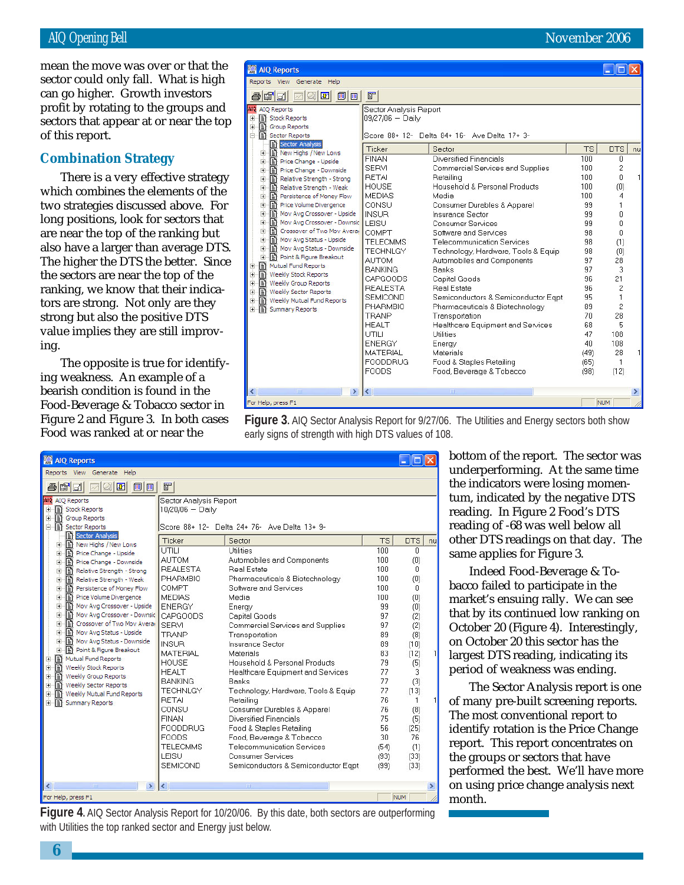profit by rotating to the groups and mean the move was over or that the sector could only fall. What is high can go higher. Growth investors sectors that appear at or near the top of this report.

#### **Combination Strategy**

There is a very effective strategy which combines the elements of the two strategies discussed above. For long positions, look for sectors that are near the top of the ranking but also have a larger than average DTS. The higher the DTS the better. Since the sectors are near the top of the ranking, we know that their indicators are strong. Not only are they strong but also the positive DTS value implies they are still improving.

The opposite is true for identifying weakness. An example of a bearish condition is found in the Food-Beverage & Tobacco sector in Figure 2 and Figure 3. In both cases Food was ranked at or near the

| <b>M</b> AIQ Reports                                                                                                                                                                                                                                                                                                                                                                                                                                      |                                                                                                                                                                                                                                                           |                                                                                                                                                                                                                                                                                                                                                                                     |                                                                                              |                                                                                        |    |
|-----------------------------------------------------------------------------------------------------------------------------------------------------------------------------------------------------------------------------------------------------------------------------------------------------------------------------------------------------------------------------------------------------------------------------------------------------------|-----------------------------------------------------------------------------------------------------------------------------------------------------------------------------------------------------------------------------------------------------------|-------------------------------------------------------------------------------------------------------------------------------------------------------------------------------------------------------------------------------------------------------------------------------------------------------------------------------------------------------------------------------------|----------------------------------------------------------------------------------------------|----------------------------------------------------------------------------------------|----|
| View<br>Generate<br>Help<br><b>Reports</b>                                                                                                                                                                                                                                                                                                                                                                                                                |                                                                                                                                                                                                                                                           |                                                                                                                                                                                                                                                                                                                                                                                     |                                                                                              |                                                                                        |    |
| é f<br>厠<br>ê,<br>囨<br>圃<br><b>WELL</b>                                                                                                                                                                                                                                                                                                                                                                                                                   | F                                                                                                                                                                                                                                                         |                                                                                                                                                                                                                                                                                                                                                                                     |                                                                                              |                                                                                        |    |
| AIO Reports<br>Stock Reports<br>由<br>Group Reports<br>由<br>Ė<br>Sector Reports<br>Sector Analysis<br>New Highs / New Lows<br>$\blacksquare$<br>Price Change - Upside<br>由<br>Price Change - Downside<br>Ė<br>Relative Strength - Strong<br>中<br>Relative Strength - Weak<br>Ė<br>Persistence of Money Flow<br>Ė<br>Price Volume Divergence<br>中<br>Mov Avg Crossover - Upside<br>由<br>Mov Avg Crossover - Downsic<br>由<br>Crossover of Two Mov Avera<br>Ė | Sector Analysis Report<br>$09/27/06 -$ Daily<br>Ticker<br><b>FINAN</b><br><b>SERVI</b><br><b>RETAI</b><br><b>HOUSE</b><br><b>MEDIAS</b><br>CONSU<br><b>INSUR</b><br>LEISU<br>COMPT                                                                        | Score 88+ 12- Delta 84+ 16- Ave Delta 17+ 3-<br>Sector<br>Diversified Financials<br>Commercial Services and Supplies<br>Retailing<br>Household & Personal Products<br>Media<br>Consumer Durables & Apparel<br>Insurance Sector<br><b>Consumer Services</b><br>Software and Services                                                                                                 | <b>TS</b><br>100<br>100<br>100<br>100<br>100<br>99<br>99<br>99<br>98                         | <b>DTS</b><br>0<br>2<br>0<br>(0)<br>4<br>1<br>0<br>0<br>n                              | nu |
| Mov Avg Status - Upside<br>Ė<br>Mov Avg Status - Downside<br>Ė<br>Point & Figure Breakout<br>Ė<br>Mutual Fund Reports<br>$\pm$<br>Ė<br>Veekly Stock Reports<br>Ė<br>Weekly Group Reports<br>Ė<br>Weekly Sector Reports<br>Ð<br>Weekly Mutual Fund Reports<br>Ė<br>Summary Reports<br>÷                                                                                                                                                                    | <b>TELECMMS</b><br><b>TECHNLGY</b><br><b>AUTOM</b><br><b>BANKING</b><br>CAPGOODS<br><b>REALESTA</b><br><b>SEMICOND</b><br><b>PHARMBIO</b><br><b>TRANP</b><br><b>HEALT</b><br>UTILI<br><b>ENERGY</b><br><b>MATERIAL</b><br><b>FOODDRUG</b><br><b>FOODS</b> | <b>Telecommunication Services</b><br>Technology, Hardware, Tools & Equip<br>Automobiles and Components<br>Banks<br>Capital Goods<br><b>Real Estate</b><br>Semiconductors & Semiconductor Egpt<br>Pharmaceuticals & Biotechnology<br>Transportation<br>Healthcare Equipment and Services<br>Utilities<br>Energy<br>Materials<br>Food & Staples Retailing<br>Food, Beverage & Tobacco | 98<br>98<br>97<br>97<br>96<br>96<br>95<br>89<br>70<br>68<br>47<br>40<br>(49)<br>(65)<br>(98) | (1)<br>(0)<br>28<br>3<br>21<br>2<br>1<br>2<br>28<br>5<br>108<br>108<br>28<br>1<br>(12) |    |
| $\rightarrow$<br>m<br>≺                                                                                                                                                                                                                                                                                                                                                                                                                                   | $\left\langle \right\rangle$                                                                                                                                                                                                                              | HIII.                                                                                                                                                                                                                                                                                                                                                                               |                                                                                              |                                                                                        |    |
| For Help, press F1                                                                                                                                                                                                                                                                                                                                                                                                                                        |                                                                                                                                                                                                                                                           |                                                                                                                                                                                                                                                                                                                                                                                     |                                                                                              | <b>NUM</b>                                                                             |    |

**Figure 3.** AIQ Sector Analysis Report for 9/27/06. The Utilities and Energy sectors both show early signs of strength with high DTS values of 108.

| <b>AIQ Reports</b>                                                                                                                                                                                                                                                                                                                                                                                                                                                                                                                                                                                                                                    |                                                                                                                                                                                                                                                                                                                                                                                |                                                                                                                                                                                                                                                                                                                                                                                                                                                                                                                                                                                                                                |                                                                                                                                                          |                                                                                                                                                                  |    |
|-------------------------------------------------------------------------------------------------------------------------------------------------------------------------------------------------------------------------------------------------------------------------------------------------------------------------------------------------------------------------------------------------------------------------------------------------------------------------------------------------------------------------------------------------------------------------------------------------------------------------------------------------------|--------------------------------------------------------------------------------------------------------------------------------------------------------------------------------------------------------------------------------------------------------------------------------------------------------------------------------------------------------------------------------|--------------------------------------------------------------------------------------------------------------------------------------------------------------------------------------------------------------------------------------------------------------------------------------------------------------------------------------------------------------------------------------------------------------------------------------------------------------------------------------------------------------------------------------------------------------------------------------------------------------------------------|----------------------------------------------------------------------------------------------------------------------------------------------------------|------------------------------------------------------------------------------------------------------------------------------------------------------------------|----|
| Reports View Generate Help                                                                                                                                                                                                                                                                                                                                                                                                                                                                                                                                                                                                                            |                                                                                                                                                                                                                                                                                                                                                                                |                                                                                                                                                                                                                                                                                                                                                                                                                                                                                                                                                                                                                                |                                                                                                                                                          |                                                                                                                                                                  |    |
| n d<br>$\omega$ $\mathbf{r}$<br>前面<br>$\overline{\mathcal{M}}$<br>ê,                                                                                                                                                                                                                                                                                                                                                                                                                                                                                                                                                                                  | F                                                                                                                                                                                                                                                                                                                                                                              |                                                                                                                                                                                                                                                                                                                                                                                                                                                                                                                                                                                                                                |                                                                                                                                                          |                                                                                                                                                                  |    |
| AIO Reports<br><b>图 Stock Reports</b><br>由<br>Group Reports<br>Ė<br>Sector Reports                                                                                                                                                                                                                                                                                                                                                                                                                                                                                                                                                                    | Sector Analysis Report<br>10/20/06 - Daily                                                                                                                                                                                                                                                                                                                                     | Score 88+ 12- Delta 24+ 76- Ave Delta 13+ 9-                                                                                                                                                                                                                                                                                                                                                                                                                                                                                                                                                                                   |                                                                                                                                                          |                                                                                                                                                                  |    |
| Sector Analysis                                                                                                                                                                                                                                                                                                                                                                                                                                                                                                                                                                                                                                       | Ticker                                                                                                                                                                                                                                                                                                                                                                         | Sector                                                                                                                                                                                                                                                                                                                                                                                                                                                                                                                                                                                                                         | <b>TS</b>                                                                                                                                                | <b>DTS</b>                                                                                                                                                       | nu |
| New Highs / New Lows<br>$\left  + \right $<br>Price Change - Upside<br>由<br>Price Change - Downside<br>由<br>Relative Strength - Strong<br>由<br>Relative Strength - Weak<br>由<br>È<br>Persistence of Money Flow<br>Price Volume Divergence<br>由<br>Mov Avg Crossover - Upside<br>由<br>Mov Avg Crossover - Downsic<br>由<br>Ė<br>Crossover of Two Mov Avera<br>Mov Avg Status - Upside<br>Ė<br>Mov Avg Status - Downside<br>÷<br>Ė<br>Point & Figure Breakout<br>Mutual Fund Reports<br>Ė<br>Ė<br>Weekly Stock Reports<br>Ė<br>Weekly Group Reports<br>Ė<br>Weekly Sector Reports<br>Weekly Mutual Fund Reports<br>由<br>Ð<br><b>Summary Reports</b><br>Ė | UTILL<br><b>AUTOM</b><br><b>REALESTA</b><br><b>PHARMBIO</b><br>COMPT<br><b>MEDIAS</b><br><b>ENERGY</b><br>CAPGOODS<br><b>SERVI</b><br><b>TRANP</b><br><b>INSUR</b><br><b>MATERIAL</b><br>HOUSE<br><b>HEALT</b><br><b>RANKING</b><br><b>TECHNLGY</b><br><b>RETAI</b><br>CONSU<br><b>FINAN</b><br><b>FOODDRUG</b><br><b>FOODS</b><br><b>TELECMMS</b><br>LEISU<br><b>SEMICOND</b> | Utilities<br>Automobiles and Components<br><b>Real Estate</b><br>Pharmaceuticals & Biotechnology<br>Software and Services<br>Media<br>Energy<br>Capital Goods<br>Commercial Services and Supplies<br>Transportation<br><b>Insurance Sector</b><br>Materials<br>Household & Personal Products<br>Healthcare Equipment and Services<br><b>Banks</b><br>Technology, Hardware, Tools & Equip<br>Retailing<br>Consumer Durables & Apparel<br>Diversified Financials<br>Food & Staples Retailing<br>Food, Beverage & Tobacco<br><b>Telecommunication Services</b><br><b>Consumer Services</b><br>Semiconductors & Semiconductor Eqpt | 100<br>100<br>100<br>100<br>100<br>100<br>99<br>97<br>97<br>89<br>89<br>83<br>79<br>77<br>77<br>77<br>76<br>76<br>75<br>56<br>30<br>(54)<br>(93)<br>(99) | n<br>(0)<br>0<br>(0)<br>0<br>(0)<br>(0)<br>(2)<br>(2)<br>(8)<br>(10)<br>(12)<br>(5)<br>3.<br>(3)<br>(13)<br>1<br>(8)<br>(5)<br>(25)<br>76<br>(1)<br>(33)<br>(33) |    |
| mr<br>×<br>≺                                                                                                                                                                                                                                                                                                                                                                                                                                                                                                                                                                                                                                          | ∢                                                                                                                                                                                                                                                                                                                                                                              | ШÌ                                                                                                                                                                                                                                                                                                                                                                                                                                                                                                                                                                                                                             |                                                                                                                                                          |                                                                                                                                                                  | ≯  |
| For Help, press F1                                                                                                                                                                                                                                                                                                                                                                                                                                                                                                                                                                                                                                    |                                                                                                                                                                                                                                                                                                                                                                                |                                                                                                                                                                                                                                                                                                                                                                                                                                                                                                                                                                                                                                |                                                                                                                                                          | <b>NUM</b>                                                                                                                                                       |    |

**Figure 4.** AIQ Sector Analysis Report for 10/20/06. By this date, both sectors are outperforming with Utilities the top ranked sector and Energy just below.

bottom of the report. The sector was underperforming. At the same time the indicators were losing momentum, indicated by the negative DTS reading. In Figure 2 Food's DTS reading of -68 was well below all other DTS readings on that day. The same applies for Figure 3.

Indeed Food-Beverage & Tobacco failed to participate in the market's ensuing rally. We can see that by its continued low ranking on October 20 (Figure 4). Interestingly, on October 20 this sector has the largest DTS reading, indicating its period of weakness was ending.

The Sector Analysis report is one of many pre-built screening reports. The most conventional report to identify rotation is the Price Change report. This report concentrates on the groups or sectors that have performed the best. We'll have more on using price change analysis next month.